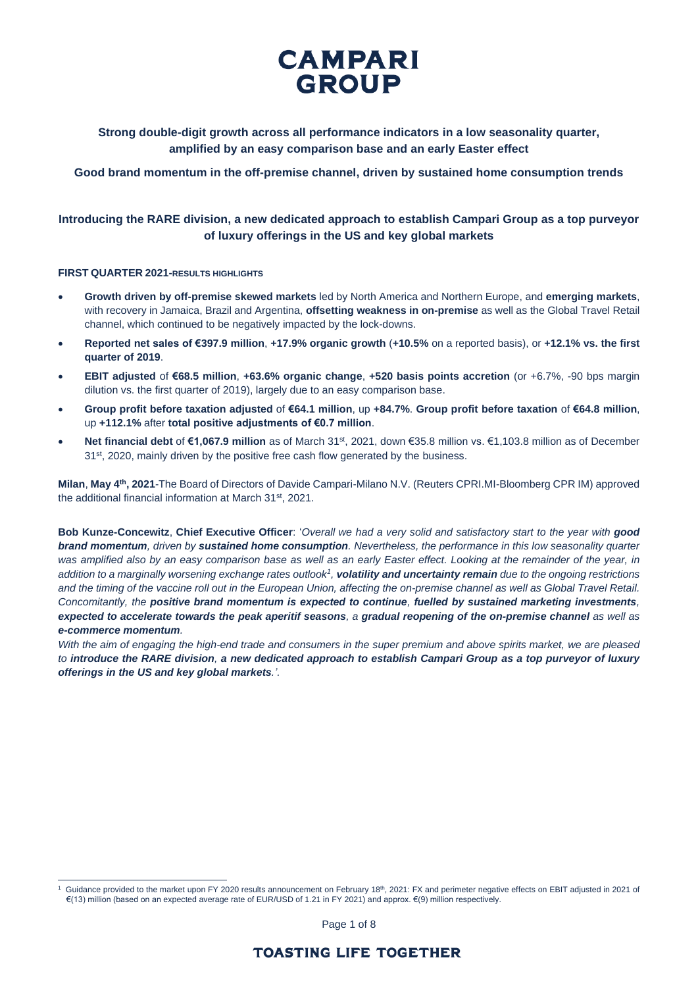**Strong double-digit growth across all performance indicators in a low seasonality quarter, amplified by an easy comparison base and an early Easter effect**

**Good brand momentum in the off-premise channel, driven by sustained home consumption trends**

## **Introducing the RARE division, a new dedicated approach to establish Campari Group as a top purveyor of luxury offerings in the US and key global markets**

### **FIRST QUARTER 2021-RESULTS HIGHLIGHTS**

- **Growth driven by off-premise skewed markets** led by North America and Northern Europe, and **emerging markets**, with recovery in Jamaica, Brazil and Argentina, **offsetting weakness in on-premise** as well as the Global Travel Retail channel, which continued to be negatively impacted by the lock-downs.
- **Reported net sales of €397.9 million**, **+17.9% organic growth** (**+10.5%** on a reported basis), or **+12.1% vs. the first quarter of 2019**.
- **EBIT adjusted** of **€68.5 million**, **+63.6% organic change**, **+520 basis points accretion** (or +6.7%, -90 bps margin dilution vs. the first quarter of 2019), largely due to an easy comparison base.
- **Group profit before taxation adjusted** of **€64.1 million**, up **+84.7%**. **Group profit before taxation** of **€64.8 million**, up **+112.1%** after **total positive adjustments of €0.7 million**.
- **Net financial debt** of **€1,067.9 million** as of March 31st, 2021, down €35.8 million vs. €1,103.8 million as of December 31<sup>st</sup>, 2020, mainly driven by the positive free cash flow generated by the business.

**Milan**, **May 4th, 2021**-The Board of Directors of Davide Campari-Milano N.V. (Reuters CPRI.MI-Bloomberg CPR IM) approved the additional financial information at March 31st, 2021.

**Bob Kunze-Concewitz**, **Chief Executive Officer**: '*Overall we had a very solid and satisfactory start to the year with good brand momentum, driven by sustained home consumption. Nevertheless, the performance in this low seasonality quarter was amplified also by an easy comparison base as well as an early Easter effect. Looking at the remainder of the year, in addition to a marginally worsening exchange rates outlook<sup>1</sup> , volatility and uncertainty remain due to the ongoing restrictions and the timing of the vaccine roll out in the European Union, affecting the on-premise channel as well as Global Travel Retail. Concomitantly, the positive brand momentum is expected to continue, fuelled by sustained marketing investments, expected to accelerate towards the peak aperitif seasons, a gradual reopening of the on-premise channel as well as e-commerce momentum.* 

*With the aim of engaging the high-end trade and consumers in the super premium and above spirits market, we are pleased to introduce the RARE division, a new dedicated approach to establish Campari Group as a top purveyor of luxury offerings in the US and key global markets.'.*

Page 1 of 8

<sup>1</sup> Guidance provided to the market upon FY 2020 results announcement on February 18<sup>th</sup>, 2021: FX and perimeter negative effects on EBIT adjusted in 2021 of €(13) million (based on an expected average rate of EUR/USD of 1.21 in FY 2021) and approx. €(9) million respectively.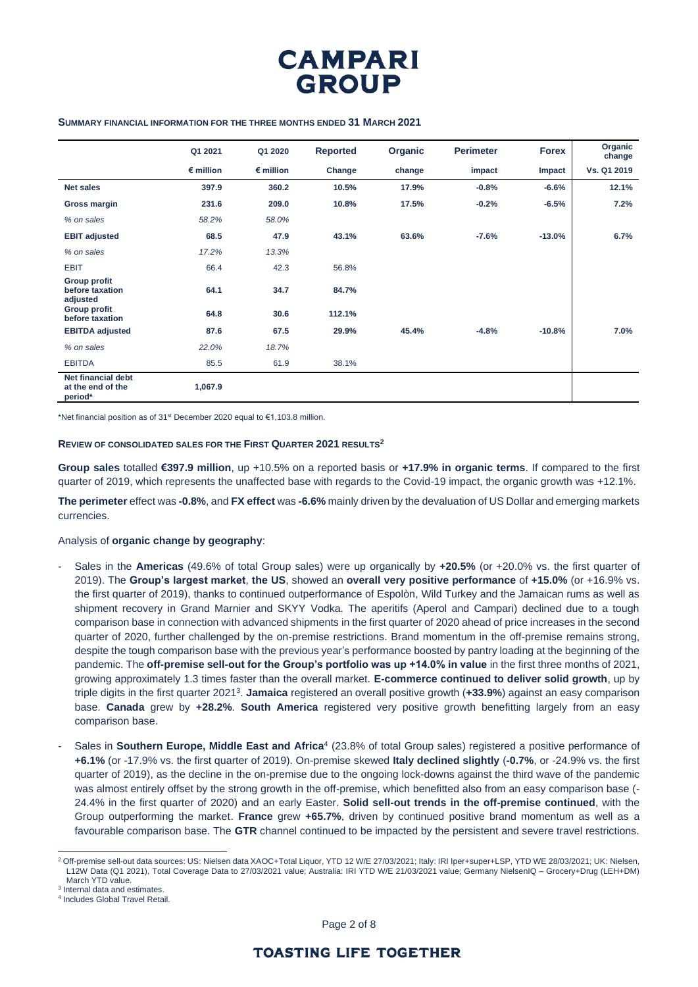

#### **SUMMARY FINANCIAL INFORMATION FOR THE THREE MONTHS ENDED 31 MARCH 2021**

|                                                    | Q1 2021            | Q1 2020            | <b>Reported</b> | Organic | <b>Perimeter</b> | <b>Forex</b> | Organic<br>change |
|----------------------------------------------------|--------------------|--------------------|-----------------|---------|------------------|--------------|-------------------|
|                                                    | $\epsilon$ million | $\epsilon$ million | Change          | change  | impact           | Impact       | Vs. Q1 2019       |
| <b>Net sales</b>                                   | 397.9              | 360.2              | 10.5%           | 17.9%   | $-0.8%$          | $-6.6%$      | 12.1%             |
| Gross margin                                       | 231.6              | 209.0              | 10.8%           | 17.5%   | $-0.2%$          | $-6.5%$      | 7.2%              |
| % on sales                                         | 58.2%              | 58.0%              |                 |         |                  |              |                   |
| <b>EBIT adjusted</b>                               | 68.5               | 47.9               | 43.1%           | 63.6%   | $-7.6%$          | $-13.0%$     | 6.7%              |
| % on sales                                         | 17.2%              | 13.3%              |                 |         |                  |              |                   |
| <b>EBIT</b>                                        | 66.4               | 42.3               | 56.8%           |         |                  |              |                   |
| <b>Group profit</b><br>before taxation<br>adjusted | 64.1               | 34.7               | 84.7%           |         |                  |              |                   |
| <b>Group profit</b><br>before taxation             | 64.8               | 30.6               | 112.1%          |         |                  |              |                   |
| <b>EBITDA</b> adjusted                             | 87.6               | 67.5               | 29.9%           | 45.4%   | $-4.8%$          | $-10.8%$     | 7.0%              |
| % on sales                                         | 22.0%              | 18.7%              |                 |         |                  |              |                   |
| <b>EBITDA</b>                                      | 85.5               | 61.9               | 38.1%           |         |                  |              |                   |
| Net financial debt<br>at the end of the<br>period* | 1,067.9            |                    |                 |         |                  |              |                   |

\*Net financial position as of 31<sup>st</sup> December 2020 equal to  $\epsilon$ 1,103.8 million.

#### **REVIEW OF CONSOLIDATED SALES FOR THE FIRST QUARTER 2021 RESULTS<sup>2</sup>**

**Group sales** totalled **€397.9 million**, up +10.5% on a reported basis or **+17.9% in organic terms**. If compared to the first quarter of 2019, which represents the unaffected base with regards to the Covid-19 impact, the organic growth was +12.1%.

**The perimeter** effect was **-0.8%**, and **FX effect** was **-6.6%** mainly driven by the devaluation of US Dollar and emerging markets currencies.

#### Analysis of **organic change by geography**:

- Sales in the **Americas** (49.6% of total Group sales) were up organically by **+20.5%** (or +20.0% vs. the first quarter of 2019). The **Group's largest market**, **the US**, showed an **overall very positive performance** of **+15.0%** (or +16.9% vs. the first quarter of 2019), thanks to continued outperformance of Espolòn, Wild Turkey and the Jamaican rums as well as shipment recovery in Grand Marnier and SKYY Vodka. The aperitifs (Aperol and Campari) declined due to a tough comparison base in connection with advanced shipments in the first quarter of 2020 ahead of price increases in the second quarter of 2020, further challenged by the on-premise restrictions. Brand momentum in the off-premise remains strong, despite the tough comparison base with the previous year's performance boosted by pantry loading at the beginning of the pandemic. The **off-premise sell-out for the Group's portfolio was up +14.0% in value** in the first three months of 2021, growing approximately 1.3 times faster than the overall market. **E-commerce continued to deliver solid growth**, up by triple digits in the first quarter 2021<sup>3</sup>. Jamaica registered an overall positive growth (+33.9%) against an easy comparison base. **Canada** grew by **+28.2%**. **South America** registered very positive growth benefitting largely from an easy comparison base.
- Sales in **Southern Europe, Middle East and Africa**<sup>4</sup> (23.8% of total Group sales) registered a positive performance of **+6.1%** (or -17.9% vs. the first quarter of 2019). On-premise skewed **Italy declined slightly** (**-0.7%**, or -24.9% vs. the first quarter of 2019), as the decline in the on-premise due to the ongoing lock-downs against the third wave of the pandemic was almost entirely offset by the strong growth in the off-premise, which benefitted also from an easy comparison base (- 24.4% in the first quarter of 2020) and an early Easter. **Solid sell-out trends in the off-premise continued**, with the Group outperforming the market. **France** grew **+65.7%**, driven by continued positive brand momentum as well as a favourable comparison base. The **GTR** channel continued to be impacted by the persistent and severe travel restrictions.

<sup>2</sup> Off-premise sell-out data sources: US: Nielsen data XAOC+Total Liquor, YTD 12 W/E 27/03/2021; Italy: IRI Iper+super+LSP, YTD WE 28/03/2021; UK: Nielsen, L12W Data (Q1 2021), Total Coverage Data to 27/03/2021 value; Australia: IRI YTD W/E 21/03/2021 value; Germany NielsenIQ – Grocery+Drug (LEH+DM) March YTD value.

<sup>3</sup> Internal data and estimates.

<sup>4</sup> Includes Global Travel Retail.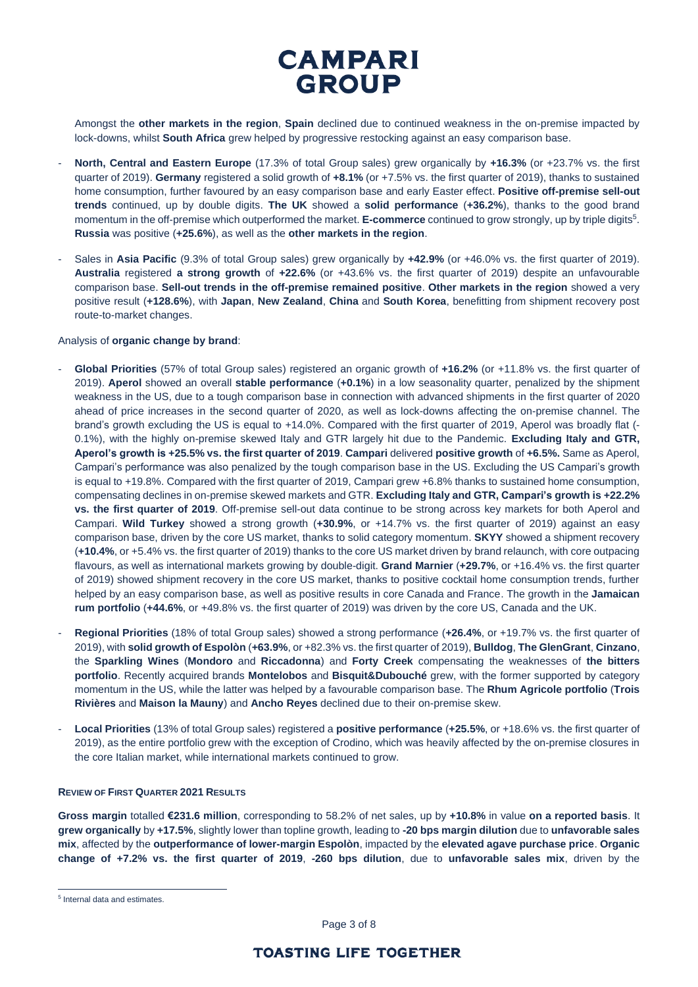

Amongst the **other markets in the region**, **Spain** declined due to continued weakness in the on-premise impacted by lock-downs, whilst **South Africa** grew helped by progressive restocking against an easy comparison base.

- **North, Central and Eastern Europe** (17.3% of total Group sales) grew organically by **+16.3%** (or +23.7% vs. the first quarter of 2019). **Germany** registered a solid growth of **+8.1%** (or +7.5% vs. the first quarter of 2019), thanks to sustained home consumption, further favoured by an easy comparison base and early Easter effect. **Positive off-premise sell-out trends** continued, up by double digits. **The UK** showed a **solid performance** (**+36.2%**), thanks to the good brand momentum in the off-premise which outperformed the market. **E-commerce** continued to grow strongly, up by triple digits<sup>5</sup>. **Russia** was positive (**+25.6%**), as well as the **other markets in the region**.
- Sales in **Asia Pacific** (9.3% of total Group sales) grew organically by **+42.9%** (or +46.0% vs. the first quarter of 2019). **Australia** registered **a strong growth** of **+22.6%** (or +43.6% vs. the first quarter of 2019) despite an unfavourable comparison base. **Sell-out trends in the off-premise remained positive**. **Other markets in the region** showed a very positive result (**+128.6%**), with **Japan**, **New Zealand**, **China** and **South Korea**, benefitting from shipment recovery post route-to-market changes.

#### Analysis of **organic change by brand**:

- **Global Priorities** (57% of total Group sales) registered an organic growth of **+16.2%** (or +11.8% vs. the first quarter of 2019). **Aperol** showed an overall **stable performance** (**+0.1%**) in a low seasonality quarter, penalized by the shipment weakness in the US, due to a tough comparison base in connection with advanced shipments in the first quarter of 2020 ahead of price increases in the second quarter of 2020, as well as lock-downs affecting the on-premise channel. The brand's growth excluding the US is equal to +14.0%. Compared with the first quarter of 2019, Aperol was broadly flat (- 0.1%), with the highly on-premise skewed Italy and GTR largely hit due to the Pandemic. **Excluding Italy and GTR, Aperol's growth is +25.5% vs. the first quarter of 2019**. **Campari** delivered **positive growth** of **+6.5%.** Same as Aperol, Campari's performance was also penalized by the tough comparison base in the US. Excluding the US Campari's growth is equal to +19.8%. Compared with the first quarter of 2019, Campari grew +6.8% thanks to sustained home consumption, compensating declines in on-premise skewed markets and GTR. **Excluding Italy and GTR, Campari's growth is +22.2% vs. the first quarter of 2019**. Off-premise sell-out data continue to be strong across key markets for both Aperol and Campari. **Wild Turkey** showed a strong growth (**+30.9%**, or +14.7% vs. the first quarter of 2019) against an easy comparison base, driven by the core US market, thanks to solid category momentum. **SKYY** showed a shipment recovery (**+10.4%**, or +5.4% vs. the first quarter of 2019) thanks to the core US market driven by brand relaunch, with core outpacing flavours, as well as international markets growing by double-digit. **Grand Marnier** (**+29.7%**, or +16.4% vs. the first quarter of 2019) showed shipment recovery in the core US market, thanks to positive cocktail home consumption trends, further helped by an easy comparison base, as well as positive results in core Canada and France. The growth in the **Jamaican rum portfolio** (**+44.6%**, or +49.8% vs. the first quarter of 2019) was driven by the core US, Canada and the UK.
- **Regional Priorities** (18% of total Group sales) showed a strong performance (**+26.4%**, or +19.7% vs. the first quarter of 2019), with **solid growth of Espolòn** (**+63.9%**, or +82.3% vs. the first quarter of 2019), **Bulldog**, **The GlenGrant**, **Cinzano**, the **Sparkling Wines** (**Mondoro** and **Riccadonna**) and **Forty Creek** compensating the weaknesses of **the bitters portfolio**. Recently acquired brands **Montelobos** and **Bisquit&Dubouché** grew, with the former supported by category momentum in the US, while the latter was helped by a favourable comparison base. The **Rhum Agricole portfolio** (**Trois Rivières** and **Maison la Mauny**) and **Ancho Reyes** declined due to their on-premise skew.
- **Local Priorities** (13% of total Group sales) registered a **positive performance** (**+25.5%**, or +18.6% vs. the first quarter of 2019), as the entire portfolio grew with the exception of Crodino, which was heavily affected by the on-premise closures in the core Italian market, while international markets continued to grow.

### **REVIEW OF FIRST QUARTER 2021 RESULTS**

**Gross margin** totalled **€231.6 million**, corresponding to 58.2% of net sales, up by **+10.8%** in value **on a reported basis**. It **grew organically** by **+17.5%**, slightly lower than topline growth, leading to **-20 bps margin dilution** due to **unfavorable sales mix**, affected by the **outperformance of lower-margin Espolòn**, impacted by the **elevated agave purchase price**. **Organic change of +7.2% vs. the first quarter of 2019**, **-260 bps dilution**, due to **unfavorable sales mix**, driven by the

Page 3 of 8

<sup>5</sup> Internal data and estimates.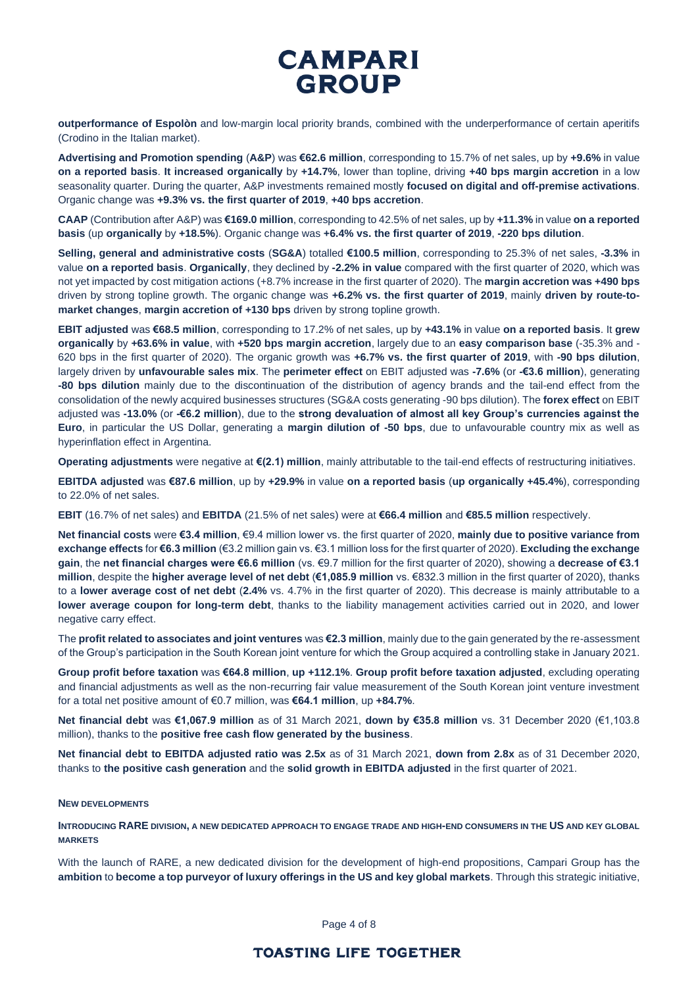**outperformance of Espolòn** and low-margin local priority brands, combined with the underperformance of certain aperitifs (Crodino in the Italian market).

**Advertising and Promotion spending** (**A&P**) was **€62.6 million**, corresponding to 15.7% of net sales, up by **+9.6%** in value **on a reported basis**. **It increased organically** by **+14.7%**, lower than topline, driving **+40 bps margin accretion** in a low seasonality quarter. During the quarter, A&P investments remained mostly **focused on digital and off-premise activations**. Organic change was **+9.3% vs. the first quarter of 2019**, **+40 bps accretion**.

**CAAP** (Contribution after A&P) was **€169.0 million**, corresponding to 42.5% of net sales, up by **+11.3%** in value **on a reported basis** (up **organically** by **+18.5%**). Organic change was **+6.4% vs. the first quarter of 2019**, **-220 bps dilution**.

**Selling, general and administrative costs** (**SG&A**) totalled **€100.5 million**, corresponding to 25.3% of net sales, **-3.3%** in value **on a reported basis**. **Organically**, they declined by **-2.2% in value** compared with the first quarter of 2020, which was not yet impacted by cost mitigation actions (+8.7% increase in the first quarter of 2020). The **margin accretion was +490 bps** driven by strong topline growth. The organic change was **+6.2% vs. the first quarter of 2019**, mainly **driven by route-tomarket changes**, **margin accretion of +130 bps** driven by strong topline growth.

**EBIT adjusted** was **€68.5 million**, corresponding to 17.2% of net sales, up by **+43.1%** in value **on a reported basis**. It **grew organically** by **+63.6% in value**, with **+520 bps margin accretion**, largely due to an **easy comparison base** (-35.3% and - 620 bps in the first quarter of 2020). The organic growth was **+6.7% vs. the first quarter of 2019**, with **-90 bps dilution**, largely driven by **unfavourable sales mix**. The **perimeter effect** on EBIT adjusted was **-7.6%** (or **-€3.6 million**), generating **-80 bps dilution** mainly due to the discontinuation of the distribution of agency brands and the tail-end effect from the consolidation of the newly acquired businesses structures (SG&A costs generating -90 bps dilution). The **forex effect** on EBIT adjusted was **-13.0%** (or **-€6.2 million**), due to the **strong devaluation of almost all key Group's currencies against the Euro**, in particular the US Dollar, generating a **margin dilution of -50 bps**, due to unfavourable country mix as well as hyperinflation effect in Argentina.

**Operating adjustments** were negative at **€(2.1) million**, mainly attributable to the tail-end effects of restructuring initiatives.

**EBITDA adjusted** was **€87.6 million**, up by **+29.9%** in value **on a reported basis** (**up organically +45.4%**), corresponding to 22.0% of net sales.

**EBIT** (16.7% of net sales) and **EBITDA** (21.5% of net sales) were at **€66.4 million** and **€85.5 million** respectively.

**Net financial costs** were **€3.4 million**, €9.4 million lower vs. the first quarter of 2020, **mainly due to positive variance from exchange effects** for **€6.3 million** (€3.2 million gain vs. €3.1 million loss for the first quarter of 2020). **Excluding the exchange gain**, the **net financial charges were €6.6 million** (vs. €9.7 million for the first quarter of 2020), showing a **decrease of €3.1 million**, despite the **higher average level of net debt** (**€1,085.9 million** vs. €832.3 million in the first quarter of 2020), thanks to a **lower average cost of net debt** (**2.4%** vs. 4.7% in the first quarter of 2020). This decrease is mainly attributable to a **lower average coupon for long-term debt**, thanks to the liability management activities carried out in 2020, and lower negative carry effect.

The **profit related to associates and joint ventures** was **€2.3 million**, mainly due to the gain generated by the re-assessment of the Group's participation in the South Korean joint venture for which the Group acquired a controlling stake in January 2021.

**Group profit before taxation** was **€64.8 million**, **up +112.1%**. **Group profit before taxation adjusted**, excluding operating and financial adjustments as well as the non-recurring fair value measurement of the South Korean joint venture investment for a total net positive amount of €0.7 million, was **€64.1 million**, up **+84.7%**.

**Net financial debt** was **€1,067.9 million** as of 31 March 2021, **down by €35.8 million** vs. 31 December 2020 (€1,103.8 million), thanks to the **positive free cash flow generated by the business**.

**Net financial debt to EBITDA adjusted ratio was 2.5x** as of 31 March 2021, **down from 2.8x** as of 31 December 2020, thanks to **the positive cash generation** and the **solid growth in EBITDA adjusted** in the first quarter of 2021.

### **NEW DEVELOPMENTS**

**INTRODUCING RARE DIVISION, A NEW DEDICATED APPROACH TO ENGAGE TRADE AND HIGH-END CONSUMERS IN THE US AND KEY GLOBAL MARKETS**

With the launch of RARE, a new dedicated division for the development of high-end propositions, Campari Group has the **ambition** to **become a top purveyor of luxury offerings in the US and key global markets**. Through this strategic initiative,

Page 4 of 8

## **TOASTING LIFE TOGETHER**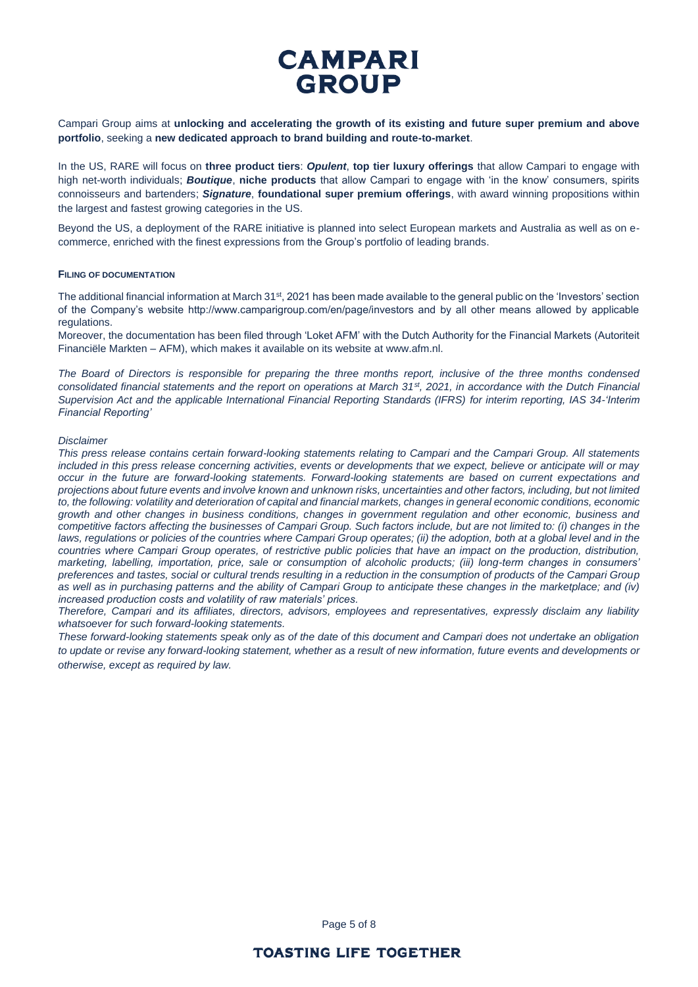Campari Group aims at **unlocking and accelerating the growth of its existing and future super premium and above portfolio**, seeking a **new dedicated approach to brand building and route-to-market**.

In the US, RARE will focus on **three product tiers**: *Opulent*, **top tier luxury offerings** that allow Campari to engage with high net-worth individuals; *Boutique*, **niche products** that allow Campari to engage with 'in the know' consumers, spirits connoisseurs and bartenders; *Signature*, **foundational super premium offerings**, with award winning propositions within the largest and fastest growing categories in the US.

Beyond the US, a deployment of the RARE initiative is planned into select European markets and Australia as well as on ecommerce, enriched with the finest expressions from the Group's portfolio of leading brands.

### **FILING OF DOCUMENTATION**

The additional financial information at March 31<sup>st</sup>, 2021 has been made available to the general public on the 'Investors' section of the Company's website http://www.camparigroup.com/en/page/investors and by all other means allowed by applicable regulations.

Moreover, the documentation has been filed through 'Loket AFM' with the Dutch Authority for the Financial Markets (Autoriteit Financiële Markten – AFM), which makes it available on its website at www.afm.nl.

*The Board of Directors is responsible for preparing the three months report, inclusive of the three months condensed consolidated financial statements and the report on operations at March 31st, 2021, in accordance with the Dutch Financial Supervision Act and the applicable International Financial Reporting Standards (IFRS) for interim reporting, IAS 34-'Interim Financial Reporting'*

#### *Disclaimer*

*This press release contains certain forward-looking statements relating to Campari and the Campari Group. All statements included in this press release concerning activities, events or developments that we expect, believe or anticipate will or may occur in the future are forward-looking statements. Forward-looking statements are based on current expectations and projections about future events and involve known and unknown risks, uncertainties and other factors, including, but not limited to, the following: volatility and deterioration of capital and financial markets, changes in general economic conditions, economic growth and other changes in business conditions, changes in government regulation and other economic, business and competitive factors affecting the businesses of Campari Group. Such factors include, but are not limited to: (i) changes in the laws, regulations or policies of the countries where Campari Group operates; (ii) the adoption, both at a global level and in the countries where Campari Group operates, of restrictive public policies that have an impact on the production, distribution, marketing, labelling, importation, price, sale or consumption of alcoholic products; (iii) long-term changes in consumers' preferences and tastes, social or cultural trends resulting in a reduction in the consumption of products of the Campari Group as well as in purchasing patterns and the ability of Campari Group to anticipate these changes in the marketplace; and (iv) increased production costs and volatility of raw materials' prices.*

*Therefore, Campari and its affiliates, directors, advisors, employees and representatives, expressly disclaim any liability whatsoever for such forward-looking statements.*

*These forward-looking statements speak only as of the date of this document and Campari does not undertake an obligation to update or revise any forward-looking statement, whether as a result of new information, future events and developments or otherwise, except as required by law.*

Page 5 of 8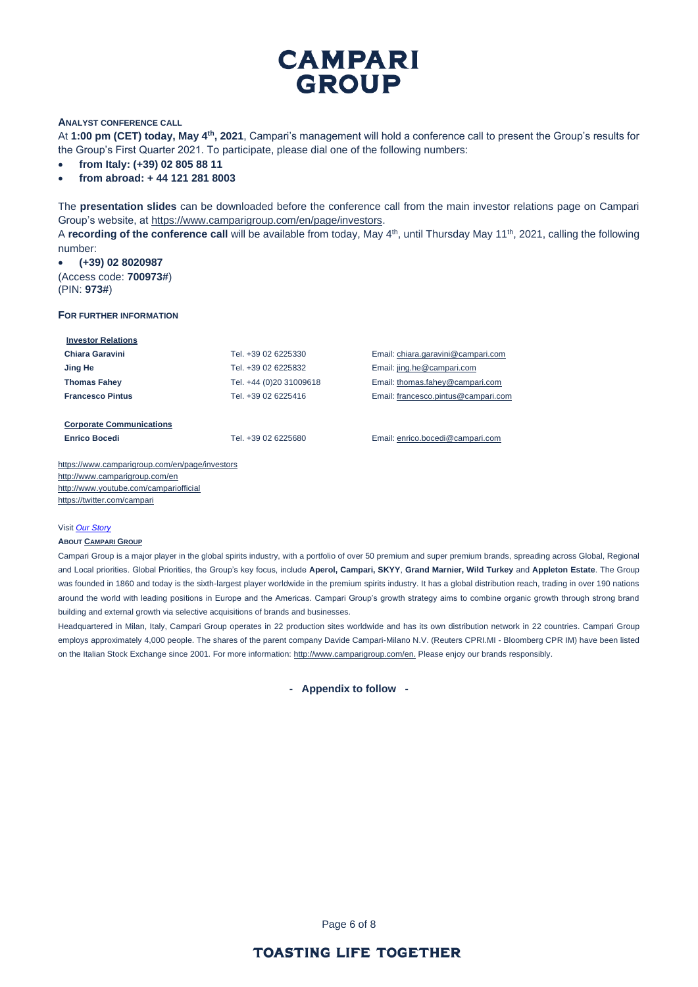### **ANALYST CONFERENCE CALL**

At **1:00 pm (CET) today, May 4th, 2021**, Campari's management will hold a conference call to present the Group's results for the Group's First Quarter 2021. To participate, please dial one of the following numbers:

- **from Italy: (+39) 02 805 88 11**
- **from abroad: + 44 121 281 8003**

The **presentation slides** can be downloaded before the conference call from the main investor relations page on Campari Group's website, at [https://www.camparigroup.com/en/page/investors.](https://www.camparigroup.com/en/page/investors)

A **recording of the conference call** will be available from today, May 4<sup>th</sup>, until Thursday May 11<sup>th</sup>, 2021, calling the following number:

• **(+39) 02 8020987**  (Access code: **700973#**) (PIN: **973#**)

#### **FOR FURTHER INFORMATION**

| <b>Investor Relations</b>       |                         |                                     |
|---------------------------------|-------------------------|-------------------------------------|
| Chiara Garavini                 | Tel. +39 02 6225330     | Email: chiara.garavini@campari.com  |
| Jing He                         | Tel. +39 02 6225832     | Email: jing.he@campari.com          |
| <b>Thomas Fahey</b>             | Tel. +44 (0)20 31009618 | Email: thomas.fahey@campari.com     |
| <b>Francesco Pintus</b>         | Tel. +39 02 6225416     | Email: francesco.pintus@campari.com |
|                                 |                         |                                     |
| <b>Corporate Communications</b> |                         |                                     |
| <b>Enrico Bocedi</b>            | Tel. +39 02 6225680     | Email: enrico.bocedi@campari.com    |
|                                 |                         |                                     |

<https://www.camparigroup.com/en/page/investors> http://www.camparigroup.com/en <http://www.youtube.com/campariofficial> <https://twitter.com/campari>

#### Visit *[Our Story](https://youtu.be/ilNVsU9Cigo)*

#### **ABOUT C[AMPARI](https://www.camparigroup.com/en) GROUP**

Campari Group is a major player in the global spirits industry, with a portfolio of over 50 premium and super premium brands, spreading across Global, Regional and Local priorities. Global Priorities, the Group's key focus, include **Aperol, Campari, SKYY**, **Grand Marnier, Wild Turkey** and **Appleton Estate**. The Group was founded in 1860 and today is the sixth-largest player worldwide in the premium spirits industry. It has a global distribution reach, trading in over 190 nations around the world with leading positions in Europe and the Americas. Campari Group's growth strategy aims to combine organic growth through strong brand building and external growth via selective acquisitions of brands and businesses.

Headquartered in Milan, Italy, Campari Group operates in 22 production sites worldwide and has its own distribution network in 22 countries. Campari Group employs approximately 4,000 people. The shares of the parent company Davide Campari-Milano N.V. (Reuters CPRI.MI - Bloomberg CPR IM) have been listed on the Italian Stock Exchange since 2001. For more information: [http://www.camparigroup.com/en.](http://www.camparigroup.com/en) Please enjoy our brands responsibly.

**- Appendix to follow -**

Page 6 of 8

## **TOASTING LIFE TOGETHER**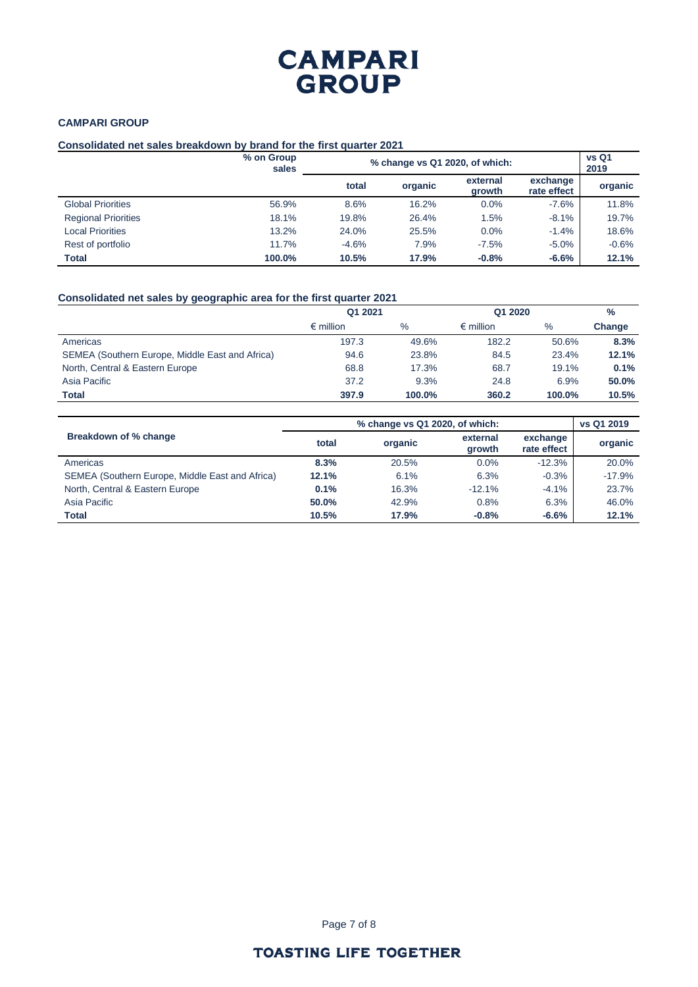## **CAMPARI GROUP**

### **Consolidated net sales breakdown by brand for the first quarter 2021**

|                            | % on Group<br>sales | % change vs Q1 2020, of which: | vs Q1<br>2019 |                    |                         |         |
|----------------------------|---------------------|--------------------------------|---------------|--------------------|-------------------------|---------|
|                            |                     | total                          | organic       | external<br>growth | exchange<br>rate effect | organic |
| <b>Global Priorities</b>   | 56.9%               | 8.6%                           | 16.2%         | 0.0%               | $-7.6%$                 | 11.8%   |
| <b>Regional Priorities</b> | 18.1%               | 19.8%                          | 26.4%         | 1.5%               | $-8.1%$                 | 19.7%   |
| <b>Local Priorities</b>    | 13.2%               | 24.0%                          | 25.5%         | 0.0%               | $-1.4%$                 | 18.6%   |
| Rest of portfolio          | 11.7%               | $-4.6%$                        | 7.9%          | $-7.5%$            | $-5.0\%$                | $-0.6%$ |
| Total                      | 100.0%              | 10.5%                          | 17.9%         | $-0.8%$            | $-6.6%$                 | 12.1%   |

### **Consolidated net sales by geographic area for the first quarter 2021**

|                                                 | Q1 2021            |               | Q1 2020            |        | $\%$   |
|-------------------------------------------------|--------------------|---------------|--------------------|--------|--------|
|                                                 | $\epsilon$ million | $\frac{0}{0}$ | $\epsilon$ million | $\%$   | Change |
| Americas                                        | 197.3              | 49.6%         | 182.2              | 50.6%  | 8.3%   |
| SEMEA (Southern Europe, Middle East and Africa) | 94.6               | 23.8%         | 84.5               | 23.4%  | 12.1%  |
| North, Central & Eastern Europe                 | 68.8               | 17.3%         | 68.7               | 19.1%  | 0.1%   |
| Asia Pacific                                    | 37.2               | 9.3%          | 24.8               | 6.9%   | 50.0%  |
| <b>Total</b>                                    | 397.9              | 100.0%        | 360.2              | 100.0% | 10.5%  |

|                                                 |       | vs Q1 2019 |                           |                         |          |
|-------------------------------------------------|-------|------------|---------------------------|-------------------------|----------|
| Breakdown of % change                           | total | organic    | external<br><b>arowth</b> | exchange<br>rate effect | organic  |
| Americas                                        | 8.3%  | 20.5%      | $0.0\%$                   | $-12.3%$                | 20.0%    |
| SEMEA (Southern Europe, Middle East and Africa) | 12.1% | 6.1%       | 6.3%                      | $-0.3%$                 | $-17.9%$ |
| North, Central & Eastern Europe                 | 0.1%  | 16.3%      | $-12.1%$                  | $-4.1%$                 | 23.7%    |
| Asia Pacific                                    | 50.0% | 42.9%      | 0.8%                      | 6.3%                    | 46.0%    |
| <b>Total</b>                                    | 10.5% | 17.9%      | $-0.8%$                   | $-6.6%$                 | 12.1%    |

## **TOASTING LIFE TOGETHER**